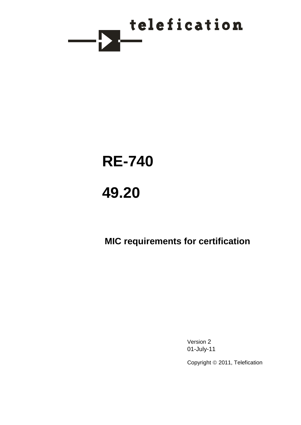

# **RE-740**

# **49.20**

# **MIC requirements for certification**

Version 2 01-July-11

Copyright © 2011, Telefication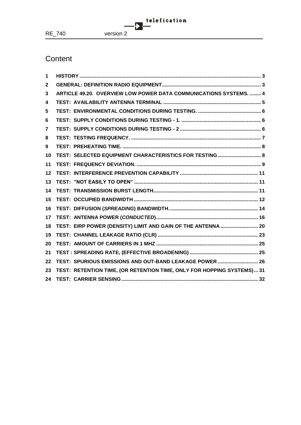# **Content**

| 1  |                                                                        |
|----|------------------------------------------------------------------------|
| 2  |                                                                        |
| 3  | ARTICLE 49.20. OVERVIEW LOW POWER DATA COMMUNICATIONS SYSTEMS,  4      |
| 4  |                                                                        |
| 5  |                                                                        |
| 6  |                                                                        |
| 7  |                                                                        |
| 8  |                                                                        |
| 9  |                                                                        |
| 10 | TEST: SELECTED EQUIPMENT CHARACTERISTICS FOR TESTING 8                 |
| 11 |                                                                        |
| 12 |                                                                        |
| 13 |                                                                        |
| 14 |                                                                        |
| 15 |                                                                        |
| 16 |                                                                        |
| 17 |                                                                        |
| 18 | TEST: EIRP POWER (DENSITY) LIMIT AND GAIN OF THE ANTENNA  20           |
| 19 |                                                                        |
| 20 |                                                                        |
| 21 |                                                                        |
| 22 | TEST: SPURIOUS EMISSIONS AND OUT-BAND LEAKAGE POWER  26                |
| 23 | TEST: RETENTION TIME, (OR RETENTION TIME, ONLY FOR HOPPING SYSTEMS) 31 |
| 24 |                                                                        |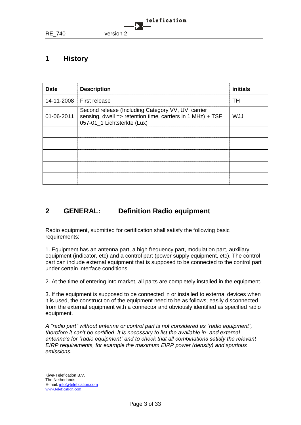

# <span id="page-2-0"></span>**1 History**

| <b>Date</b> | <b>Description</b>                                                                                                                                           | initials |
|-------------|--------------------------------------------------------------------------------------------------------------------------------------------------------------|----------|
|             | 14-11-2008 First release                                                                                                                                     | TН       |
|             | Second release (Including Category VV, UV, carrier<br>01-06-2011   sensing, dwell => retention time, carriers in 1 MHz) + TSF<br>057-01_1 Lichtsterkte (Lux) | WJJ      |
|             |                                                                                                                                                              |          |
|             |                                                                                                                                                              |          |
|             |                                                                                                                                                              |          |
|             |                                                                                                                                                              |          |
|             |                                                                                                                                                              |          |

# <span id="page-2-1"></span>**2 GENERAL: Definition Radio equipment**

Radio equipment, submitted for certification shall satisfy the following basic requirements:

1. Equipment has an antenna part, a high frequency part, modulation part, auxiliary equipment (indicator, etc) and a control part (power supply equipment, etc). The control part can include external equipment that is supposed to be connected to the control part under certain interface conditions.

2. At the time of entering into market, all parts are completely installed in the equipment.

3. If the equipment is supposed to be connected in or installed to external devices when it is used, the construction of the equipment need to be as follows; easily disconnected from the external equipment with a connector and obviously identified as specified radio equipment.

*A "radio part" without antenna or control part is not considered as "radio equipment", therefore it can't be certified. It is necessary to list the available in- and external antenna's for "radio equipment" and to check that all combinations satisfy the relevant EIRP requirements, for example the maximum EIRP power (density) and spurious emissions.*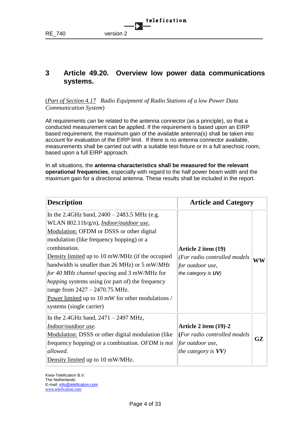

# <span id="page-3-0"></span>**3 Article 49.20. Overview low power data communications systems.**

(*Part of Section 4.17 Radio Equipment of Radio Stations of a low Power Data Communication System*)

All requirements can be related to the antenna connector (as a principle), so that a conducted measurement can be applied. If the requirement is based upon an EIRP based requirement, the maximum gain of the available antenna(s) shall be taken into account for evaluation of the EIRP limit. If there is no antenna connector available, measurements shall be carried out with a suitable test-fixture or in a full anechoic room, based upon a full EIRP approach.

In all situations, the **antenna characteristics shall be measured for the relevant operational frequencies**, especially with regard to the half power beam width and the maximum gain for a directional antenna. These results shall be included in the report.

| <b>Description</b>                                                                                                                                                                                                                                                                                                                                                                                                                                                                                                                                  | <b>Article and Category</b>                                                                                |                                   |
|-----------------------------------------------------------------------------------------------------------------------------------------------------------------------------------------------------------------------------------------------------------------------------------------------------------------------------------------------------------------------------------------------------------------------------------------------------------------------------------------------------------------------------------------------------|------------------------------------------------------------------------------------------------------------|-----------------------------------|
| In the 2.4GHz band, $2400 - 2483.5$ MHz (e.g.<br>WLAN 802.11b/g/n), <i>Indoor/outdoor use</i> .<br>Modulation: OFDM or DSSS or other digital<br>modulation (like frequency hopping) or a<br>combination.<br>Density limited up to 10 mW/MHz (if the occupied<br>bandwidth is smaller than 26 MHz) or 5 mW/MHz<br><i>for 40 MHz channel spacing and 3 mW/MHz for</i><br><i>hopping</i> systems using (or part of) the frequency<br>range from $2427 - 2470.75$ MHz.<br>Power limited up to 10 mW for other modulations /<br>systems (single carrier) | Article 2 item (19)<br>(For radio controlled models<br>for outdoor use,<br>the category is UV)             | $\overline{\textbf{W}}\textbf{W}$ |
| In the 2.4GHz band, $2471 - 2497$ MHz,<br>Indoor/outdoor use.<br><b>Modulation:</b> DSSS or other digital modulation (like<br>frequency hopping) or a combination. OFDM is not<br>allowed.<br>Density limited up to 10 mW/MHz.                                                                                                                                                                                                                                                                                                                      | Article 2 item (19)-2<br>(For radio controlled models<br><i>for outdoor use,</i><br>the category is $VV$ ) | GZ                                |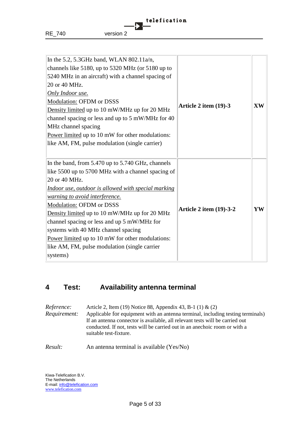| In the 5.2, 5.3GHz band, WLAN 802.11 $a/n$ ,<br>channels like 5180, up to 5320 MHz (or 5180 up to<br>5240 MHz in an aircraft) with a channel spacing of<br>20 or 40 MHz.<br><b>Only Indoor use.</b><br><b>Modulation: OFDM or DSSS</b><br>Density limited up to 10 mW/MHz up for 20 MHz<br>channel spacing or less and up to 5 mW/MHz for 40<br>MHz channel spacing<br>Power limited up to 10 mW for other modulations:<br>like AM, FM, pulse modulation (single carrier)                                           | Article 2 item (19)-3          | <b>XW</b> |
|---------------------------------------------------------------------------------------------------------------------------------------------------------------------------------------------------------------------------------------------------------------------------------------------------------------------------------------------------------------------------------------------------------------------------------------------------------------------------------------------------------------------|--------------------------------|-----------|
| In the band, from 5.470 up to 5.740 GHz, channels<br>like 5500 up to 5700 MHz with a channel spacing of<br>20 or 40 MHz.<br><u>Indoor use, outdoor is allowed with special marking</u><br><i>warning to avoid interference.</i><br>Modulation: OFDM or DSSS<br>Density limited up to 10 mW/MHz up for 20 MHz<br>channel spacing or less and up 5 mW/MHz for<br>systems with 40 MHz channel spacing<br>Power limited up to 10 mW for other modulations:<br>like AM, FM, pulse modulation (single carrier<br>systems) | <b>Article 2 item (19)-3-2</b> | YW        |

# <span id="page-4-0"></span>**4 Test: Availability antenna terminal**

| <i>Reference:</i><br>Requirement: | Article 2, Item (19) Notice 88, Appendix 43, B-1 (1) & (2)<br>Applicable for equipment with an antenna terminal, including testing terminals)<br>If an antenna connector is available, all relevant tests will be carried out<br>conducted. If not, tests will be carried out in an anechoic room or with a<br>suitable test-fixture. |
|-----------------------------------|---------------------------------------------------------------------------------------------------------------------------------------------------------------------------------------------------------------------------------------------------------------------------------------------------------------------------------------|
| Result:                           | An antenna terminal is available (Yes/No)                                                                                                                                                                                                                                                                                             |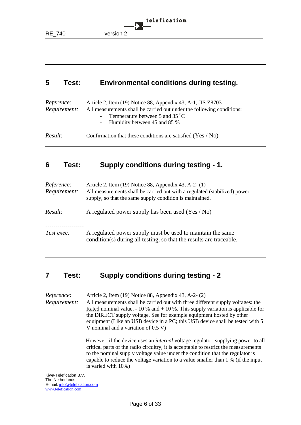telefication RE\_740 version 2

# <span id="page-5-0"></span>**5 Test: Environmental conditions during testing.**

| <i>Reference:</i><br>Requirement: | Article 2, Item (19) Notice 88, Appendix 43, A-1, JIS Z8703<br>All measurements shall be carried out under the following conditions:<br>- Temperature between 5 and 35 $^{0}$ C<br>- Humidity between 45 and 85 % |
|-----------------------------------|-------------------------------------------------------------------------------------------------------------------------------------------------------------------------------------------------------------------|
| Result:                           | Confirmation that these conditions are satisfied $(Yes / No)$                                                                                                                                                     |

# <span id="page-5-1"></span>**6 Test: Supply conditions during testing - 1.**

| Reference:<br>Requirement: | Article 2, Item (19) Notice 88, Appendix 43, A-2- (1)<br>All measurements shall be carried out with a regulated (stabilized) power<br>supply, so that the same supply condition is maintained. |
|----------------------------|------------------------------------------------------------------------------------------------------------------------------------------------------------------------------------------------|
| Result:                    | A regulated power supply has been used (Yes / No)                                                                                                                                              |
| Test exec:                 | A regulated power supply must be used to maintain the same<br>condition(s) during all testing, so that the results are traceable.                                                              |

# <span id="page-5-2"></span>**7 Test: Supply conditions during testing - 2**

*Reference:* Article 2, Item (19) Notice 88, Appendix 43, A-2- (2) *Requirement:* All measurements shall be carried out with three different supply voltages: the Rated nominal value,  $-10\%$  and  $+10\%$ . This supply variation is applicable for the DIRECT supply voltage. See for example equipment hosted by other equipment (Like an USB device in a PC; this USB device shall be tested with 5 V nominal and a variation of 0.5 V)

> However, if the device uses an *internal* voltage regulator, supplying power to all critical parts of the radio circuitry, it is acceptable to restrict the measurements to the nominal supply voltage value under the condition that the regulator is capable to reduce the voltage variation to a value smaller than 1 % (if the input is varied with 10%)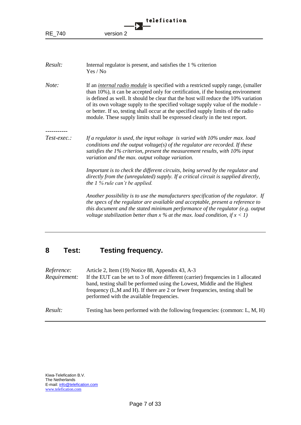|               | telefication                                                                                                                                                                                                                                                                                                                                                                                                                                                                                                             |
|---------------|--------------------------------------------------------------------------------------------------------------------------------------------------------------------------------------------------------------------------------------------------------------------------------------------------------------------------------------------------------------------------------------------------------------------------------------------------------------------------------------------------------------------------|
| <b>RE 740</b> | version 2                                                                                                                                                                                                                                                                                                                                                                                                                                                                                                                |
|               |                                                                                                                                                                                                                                                                                                                                                                                                                                                                                                                          |
| Result:       | Internal regulator is present, and satisfies the 1 % criterion<br>Yes / No                                                                                                                                                                                                                                                                                                                                                                                                                                               |
| Note:         | If an <i>internal radio module</i> is specified with a restricted supply range, (smaller<br>than 10%), it can be accepted only for certification, if the hosting environment<br>is defined as well. It should be clear that the host will reduce the 10% variation<br>of its own voltage supply to the specified voltage supply value of the module -<br>or better. If so, testing shall occur at the specified supply limits of the radio<br>module. These supply limits shall be expressed clearly in the test report. |
| Test-exec.:   | If a regulator is used, the input voltage is varied with $10\%$ under max. load<br>conditions and the output voltage(s) of the regulator are recorded. If these<br>satisfies the 1% criterion, present the measurement results, with 10% input<br>variation and the max. output voltage variation.                                                                                                                                                                                                                       |
|               | Important is to check the different circuits, being served by the regulator and<br>directly from the (unregulated) supply. If a critical circuit is supplied directly,<br>the $1\%$ rule can't be applied.                                                                                                                                                                                                                                                                                                               |
|               | Another possibility is to use the manufacturers specification of the regulator. If<br>the specs of the regulator are available and acceptable, present a reference to<br>this document and the stated minimum performance of the regulator (e.g. output<br>voltage stabilization better than $x$ % at the max. load condition, if $x < 1$ )                                                                                                                                                                              |

# <span id="page-6-0"></span>**8 Test: Testing frequency.**

| Reference:   | Article 2, Item (19) Notice 88, Appendix 43, A-3                                                                                                                                                                                                                                            |
|--------------|---------------------------------------------------------------------------------------------------------------------------------------------------------------------------------------------------------------------------------------------------------------------------------------------|
| Requirement: | If the EUT can be set to 3 of more different (carrier) frequencies in 1 allocated<br>band, testing shall be performed using the Lowest, Middle and the Highest<br>frequency (L,M and H). If there are 2 or fewer frequencies, testing shall be<br>performed with the available frequencies. |
| Result:      | Testing has been performed with the following frequencies: (common: L, M, H)                                                                                                                                                                                                                |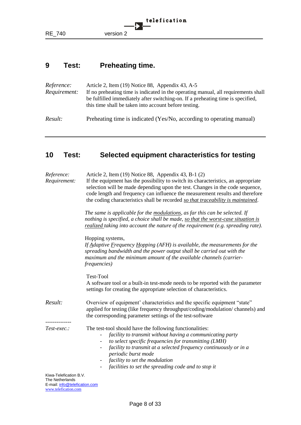

# <span id="page-7-0"></span>**9 Test: Preheating time.**

| <i>Reference:</i><br>Requirement: | Article 2, Item (19) Notice 88, Appendix 43, A-5<br>If no preheating time is indicated in the operating manual, all requirements shall<br>be fulfilled immediately after switching-on. If a preheating time is specified,<br>this time shall be taken into account before testing. |
|-----------------------------------|------------------------------------------------------------------------------------------------------------------------------------------------------------------------------------------------------------------------------------------------------------------------------------|
| Result:                           | Preheating time is indicated (Yes/No, according to operating manual)                                                                                                                                                                                                               |

# <span id="page-7-1"></span>**10 Test: Selected equipment characteristics for testing**

| Reference:<br>Requirement:                                               | Article 2, Item (19) Notice 88, Appendix 43, B-1 (2)<br>If the equipment has the possibility to switch its characteristics, an appropriate<br>selection will be made depending upon the test. Changes in the code sequence,<br>code length and frequency can influence the measurement results and therefore<br>the coding characteristics shall be recorded so that traceability is maintained. |
|--------------------------------------------------------------------------|--------------------------------------------------------------------------------------------------------------------------------------------------------------------------------------------------------------------------------------------------------------------------------------------------------------------------------------------------------------------------------------------------|
|                                                                          | The same is applicable for the modulations, as far this can be selected. If<br>nothing is specified, a choice shall be made, so that the worst-case situation is<br>realized taking into account the nature of the requirement (e.g. spreading rate).                                                                                                                                            |
|                                                                          | Hopping systems,<br>If $\underline{Adaptive\ Erequency\ Hopping\ (AFH) \ is\ available, \ the\ measurements\ for\ the$<br>spreading bandwidth and the power output shall be carried out with the<br>maximum and the minimum amount of the available channels (carrier-<br><i>frequencies</i> )                                                                                                   |
|                                                                          | Test-Tool<br>A software tool or a built-in test-mode needs to be reported with the parameter<br>settings for creating the appropriate selection of characteristics.                                                                                                                                                                                                                              |
| Result:                                                                  | Overview of equipment' characteristics and the specific equipment "state"<br>applied for testing (like frequency throughput/coding/modulation/ channels) and<br>the corresponding parameter settings of the test-software                                                                                                                                                                        |
| Test-exec.:                                                              | The test-tool should have the following functionalities:<br>facility to transmit without having a communicating party<br>to select specific frequencies for transmitting (LMH)<br>facility to transmit at a selected frequency continuously or in a<br>periodic burst mode<br>facility to set the modulation<br>facilities to set the spreading code and to stop it                              |
| Kiwa-Telefication B.V.<br>The Netherlands<br>mail, info@talafiaation aam |                                                                                                                                                                                                                                                                                                                                                                                                  |

E-mail: info@telefication.com www.telefication.com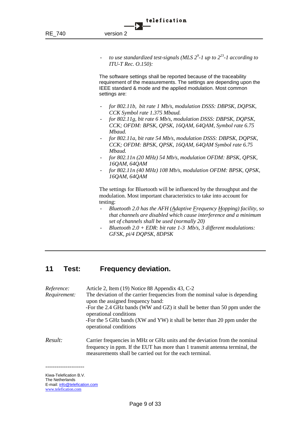- *to use standardized test-signals (MLS 2<sup>9</sup> -1 up to 2<sup>23</sup> -1 according to ITU-T Rec. O.150):*

The software settings shall be reported because of the traceability requirement of the measurements. The settings are depending upon the IEEE standard & mode and the applied modulation. Most common settings are:

- *for 802.11b, bit rate 1 Mb/s, modulation DSSS: DBPSK, DQPSK, CCK Symbol rate 1.375 Mbaud.*
- *for 802.11g, bit rate 6 Mb/s, modulation DSSS: DBPSK, DQPSK, CCK; OFDM: BPSK, QPSK, 16QAM, 64QAM, Symbol rate 6.75 Mbaud.*
- *for 802.11a, bit rate 54 Mb/s, modulation DSSS: DBPSK, DQPSK, CCK; OFDM: BPSK, QPSK, 16QAM, 64QAM Symbol rate 6.75 Mbaud.*
- *for 802.11n (20 MHz) 54 Mb/s, modulation OFDM: BPSK, QPSK, 16QAM, 64QAM*
- *for 802.11n (40 MHz) 108 Mb/s, modulation OFDM: BPSK, QPSK, 16QAM, 64QAM*

The settings for Bluetooth will be influenced by the throughput and the modulation. Most important characteristics to take into account for testing:

- *Bluetooth 2.0 has the AFH (Adaptive Frequency Hopping) facility, so that channels are disabled which cause interference and a minimum set of channels shall be used (normally 20)*
- *Bluetooth 2.0 + EDR: bit rate 1-3 Mb/s, 3 different modulations: GFSK, pi/4 DQPSK, 8DPSK*

# <span id="page-8-0"></span>**11 Test: Frequency deviation.**

| Reference:<br>Requirement: | Article 2, Item (19) Notice 88 Appendix 43, C-2<br>The deviation of the carrier frequencies from the nominal value is depending<br>upon the assigned frequency band:<br>-For the 2.4 GHz bands (WW and GZ) it shall be better than 50 ppm under the<br>operational conditions<br>-For the 5 GHz bands (XW and YW) it shall be better than 20 ppm under the<br>operational conditions |
|----------------------------|--------------------------------------------------------------------------------------------------------------------------------------------------------------------------------------------------------------------------------------------------------------------------------------------------------------------------------------------------------------------------------------|
| Result:                    | Carrier frequencies in MHz or GHz units and the deviation from the nominal<br>frequency in ppm. If the EUT has more than 1 transmit antenna terminal, the<br>measurements shall be carried out for the each terminal.                                                                                                                                                                |

Kiwa-Telefication B.V. The Netherlands E-mail: info@telefication.com www.telefication.com

*---------------------*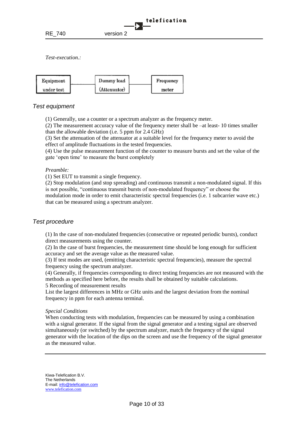



#### *Test equipment*

(1) Generally, use a counter or a spectrum analyzer as the frequency meter.

(2) The measurement accuracy value of the frequency meter shall be –at least- 10 times smaller than the allowable deviation (i.e. 5 ppm for 2.4 GHz)

(3) Set the attenuation of the attenuator at a suitable level for the frequency meter to avoid the effect of amplitude fluctuations in the tested frequencies.

(4) Use the pulse measurement function of the counter to measure bursts and set the value of the gate 'open time' to measure the burst completely

#### *Preamble:*

(1) Set EUT to transmit a single frequency.

(2) Stop modulation (and stop spreading) and continuous transmit a non-modulated signal. If this is not possible, "continuous transmit bursts of non-modulated frequency" or choose the modulation mode in order to emit characteristic spectral frequencies (i.e. 1 subcarrier wave etc.) that can be measured using a spectrum analyzer.

#### *Test procedure*

(1) In the case of non-modulated frequencies (consecutive or repeated periodic bursts), conduct direct measurements using the counter.

(2) In the case of burst frequencies, the measurement time should be long enough for sufficient accuracy and set the average value as the measured value.

(3) If test modes are used, (emitting characteristic spectral frequencies), measure the spectral frequency using the spectrum analyzer.

(4) Generally, if frequencies corresponding to direct testing frequencies are not measured with the methods as specified here before, the results shall be obtained by suitable calculations. 5 Recording of measurement results

List the largest differences in MHz or GHz units and the largest deviation from the nominal frequency in ppm for each antenna terminal.

#### *Special Conditions*

When conducting tests with modulation, frequencies can be measured by using a combination with a signal generator. If the signal from the signal generator and a testing signal are observed simultaneously (or switched) by the spectrum analyzer, match the frequency of the signal generator with the location of the dips on the screen and use the frequency of the signal generator as the measured value.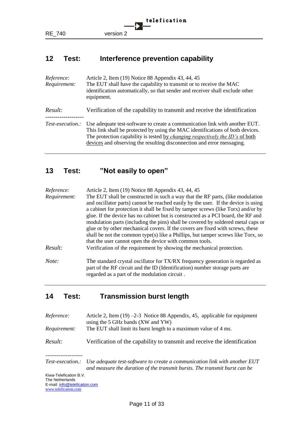# <span id="page-10-0"></span>**12 Test: Interference prevention capability**

| Reference:<br>Requirement: | Article 2, Item (19) Notice 88 Appendix 43, 44, 45<br>The EUT shall have the capability to transmit or to receive the MAC<br>identification automatically, so that sender and receiver shall exclude other<br>equipment.                                                                                                        |
|----------------------------|---------------------------------------------------------------------------------------------------------------------------------------------------------------------------------------------------------------------------------------------------------------------------------------------------------------------------------|
| Result:                    | Verification of the capability to transmit and receive the identification                                                                                                                                                                                                                                                       |
| <i>Test-execution.:</i>    | Use adequate test-software to create a communication link with another EUT.<br>This link shall be protected by using the MAC identifications of both devices.<br>The protection capability is tested by <i>changing respectively the ID's</i> of both<br>devices and observing the resulting disconnection and error messaging. |

# <span id="page-10-1"></span>**13 Test: "Not easily to open"**

| Reference:<br>Requirement: | Article 2, Item (19) Notice 88 Appendix 43, 44, 45<br>The EUT shall be constructed in such a way that the RF parts, (like modulation<br>and oscillator parts) cannot be reached easily by the user. If the device is using<br>a cabinet for protection it shall be fixed by tamper screws (like Torx) and/or by<br>glue. If the device has no cabinet but is constructed as a PCI board, the RF and |
|----------------------------|-----------------------------------------------------------------------------------------------------------------------------------------------------------------------------------------------------------------------------------------------------------------------------------------------------------------------------------------------------------------------------------------------------|
|                            | modulation parts (including the pins) shall be covered by soldered metal caps or<br>glue or by other mechanical covers. If the covers are fixed with screws, these<br>shall be not the common type(s) like a Phillips, but tamper screws like Torx, so<br>that the user cannot open the device with common tools.                                                                                   |
| Result:                    | Verification of the requirement by showing the mechanical protection.                                                                                                                                                                                                                                                                                                                               |
| Note:                      | The standard crystal oscillator for TX/RX frequency generation is regarded as<br>part of the RF circuit and the ID (Identification) number storage parts are<br>regarded as a part of the modulation circuit.                                                                                                                                                                                       |

# <span id="page-10-2"></span>**14 Test: Transmission burst length**

| <i>Reference:</i><br>Requirement: | Article 2, Item $(19)$ -2-3 Notice 88 Appendix, 45, applicable for equipment<br>using the 5 GHz bands (XW and YW)<br>The EUT shall limit its burst length to a maximum value of 4 ms. |
|-----------------------------------|---------------------------------------------------------------------------------------------------------------------------------------------------------------------------------------|
| Result:                           | Verification of the capability to transmit and receive the identification                                                                                                             |
|                                   |                                                                                                                                                                                       |

*Test-execution.: Use adequate test-software to create a communication link with another EUT and measure the duration of the transmit bursts. The transmit burst can be*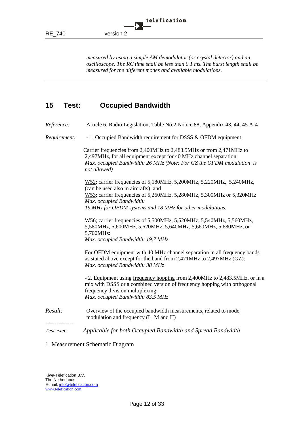*measured by using a simple AM demodulator (or crystal detector) and an oscilloscope. The RC time shall be less than 0.1 ms. The burst length shall be measured for the different modes and available modulations.*

# <span id="page-11-0"></span>**15 Test: Occupied Bandwidth**

*Reference:* Article 6, Radio Legislation, Table No.2 Notice 88, Appendix 43, 44, 45 A-4

*Requirement:* - 1. Occupied Bandwidth requirement for DSSS & OFDM equipment

Carrier frequencies from 2,400MHz to 2,483.5MHz or from 2,471MHz to 2,497MHz, for all equipment except for 40 MHz channel separation: *Max. occupied Bandwidth: 26 MHz (Note: For GZ the OFDM modulation is not allowed)*

W52: carrier frequencies of 5,180MHz, 5,200MHz, 5,220MHz, 5,240MHz, (can be used also in aircrafts) and W53; carrier frequencies of 5,260MHz, 5,280MHz, 5,300MHz or 5,320MHz *Max. occupied Bandwidth: 19 MHz for OFDM systems and 18 MHz for other modulations.*

W56; carrier frequencies of 5,500MHz, 5,520MHz, 5,540MHz, 5,560MHz, 5,580MHz, 5,600MHz, 5,620MHz, 5,640MHz, 5,660MHz, 5,680MHz, or 5,700MHz: *Max. occupied Bandwidth: 19.7 MHz*

For OFDM equipment with 40 MHz channel separation in all frequency bands as stated above except for the band from 2,471MHz to 2,497MHz (GZ): *Max. occupied Bandwidth: 38 MHz*

- 2. Equipment using frequency hopping from 2,400MHz to 2,483.5MHz, or in a mix with DSSS or a combined version of frequency hopping with orthogonal frequency division multiplexing: *Max. occupied Bandwidth: 83.5 MHz*

*Result:* Overview of the occupied bandwidth measurements, related to mode, modulation and frequency (L, M and H)

*---------------*

*Test-exec: Applicable for both Occupied Bandwidth and Spread Bandwidth*

#### 1 Measurement Schematic Diagram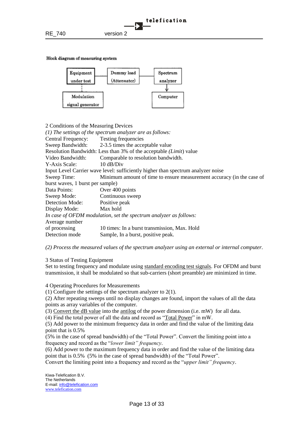Block diagram of measuring system



| 2 Conditions of the Measuring Devices                                            |                                                                       |  |
|----------------------------------------------------------------------------------|-----------------------------------------------------------------------|--|
|                                                                                  | $(1)$ The settings of the spectrum analyzer are as follows:           |  |
| Central Frequency: Testing frequencies                                           |                                                                       |  |
|                                                                                  | Sweep Bandwidth: 2-3.5 times the acceptable value                     |  |
|                                                                                  | Resolution Bandwidth: Less than 3% of the acceptable (Limit) value    |  |
| Video Bandwidth:                                                                 | Comparable to resolution bandwidth.                                   |  |
| Y-Axis Scale:                                                                    | $10 \text{ dB/Div}$                                                   |  |
| Input Level Carrier wave level: sufficiently higher than spectrum analyzer noise |                                                                       |  |
| Sweep Time:                                                                      | Minimum amount of time to ensure measurement accuracy (in the case of |  |
| burst waves, 1 burst per sample)                                                 |                                                                       |  |
| Data Points:                                                                     | Over 400 points                                                       |  |
| Sweep Mode:                                                                      | Continuous sweep                                                      |  |
| Detection Mode: Positive peak                                                    |                                                                       |  |
| Display Mode: Max hold                                                           |                                                                       |  |
|                                                                                  | In case of OFDM modulation, set the spectrum analyzer as follows:     |  |
| Average number                                                                   |                                                                       |  |
| of processing                                                                    | 10 times: In a burst transmission, Max. Hold                          |  |
| Detection mode                                                                   | Sample, In a burst, positive peak.                                    |  |

*(2) Process the measured values of the spectrum analyzer using an external or internal computer.*

3 Status of Testing Equipment

Set to testing frequency and modulate using standard encoding test signals. For OFDM and burst transmission, it shall be modulated so that sub-carriers (short preamble) are minimized in time.

4 Operating Procedures for Measurements

(1) Configure the settings of the spectrum analyzer to 2(1).

(2) After repeating sweeps until no display changes are found, import the values of all the data points as array variables of the computer.

(3) Convert the dB value into the antilog of the power dimension (i.e. mW) for all data.

(4) Find the total power of all the data and record as "Total Power" in mW.

(5) Add power to the minimum frequency data in order and find the value of the limiting data point that is 0.5%

(5% in the case of spread bandwidth) of the "Total Power". Convert the limiting point into a frequency and record as the "*lower limit" frequency*.

(6) Add power to the maximum frequency data in order and find the value of the limiting data point that is 0.5% (5% in the case of spread bandwidth) of the "Total Power".

Convert the limiting point into a frequency and record as the "*upper limit" frequency*.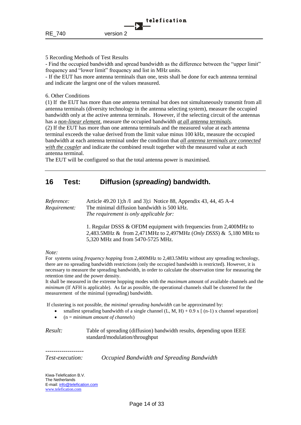#### 5 Recording Methods of Test Results

- Find the occupied bandwidth and spread bandwidth as the difference between the "upper limit" frequency and "lower limit" frequency and list in MHz units.

- If the EUT has more antenna terminals than one, tests shall be done for each antenna terminal and indicate the largest one of the values measured.

#### 6. Other Conditions

(1) If the EUT has more than one antenna terminal but does not simultaneously transmit from all antenna terminals (diversity technology in the antenna selecting system), measure the occupied bandwidth only at the active antenna terminals. However, if the selecting circuit of the antennas has a *non-linear element*, measure the occupied bandwidth *at all antenna terminals*.

(2) If the EUT has more than one antenna terminals and the measured value at each antenna terminal exceeds the value derived from the limit value minus 100 kHz, measure the occupied bandwidth at each antenna terminal under the condition that *all antenna terminals are connected with the couple*r and indicate the combined result together with the measured value at each antenna terminal.

The EUT will be configured so that the total antenna power is maximised.

# <span id="page-13-0"></span>**16 Test: Diffusion (***spreading***) bandwidth.**

| <i>Reference:</i>   | Article 49.20 1); h $\Lambda$ and 3); Notice 88, Appendix 43, 44, 45 A-4 |  |
|---------------------|--------------------------------------------------------------------------|--|
| <i>Requirement:</i> | The minimal diffusion bandwidth is 500 kHz.                              |  |
|                     | The requirement is only applicable for:                                  |  |

1. Regular DSSS & OFDM equipment with frequencies from 2,400MHz to 2,483.5MHz & from 2,471MHz to 2,497MHz (*Only DSSS*) & 5,180 MHz to 5,320 MHz and from 5470-5725 MHz.

#### *Note:*

For systems using *frequency hopping* from 2,400MHz to 2,483.5MHz without any spreading technology, there are no spreading bandwidth restrictions (only the occupied bandwidth is restricted). However, it is necessary to measure the spreading bandwidth, in order to calculate the observation time for measuring the retention time and the power density.

It shall be measured in the extreme hopping modes with the *maximum* amount of available channels and the *minimum* (If AFH is applicable). As far as possible, the operational channels shall be clustered for the measurement of the minimal (spreading) bandwidth.

If clustering is not possible, the *minimal spreading bandwidth* can be approximated by:

- smallest spreading bandwidth of a single channel  $(L, M, H) + 0.9$  x  $\lceil (n-1) \rceil$  x channel separation
- (n = *minimum amount of channels*)

*Result:* Table of spreading (diffusion) bandwidth results, depending upon IEEE standard/modulation/throughput

*Test-execution: Occupied Bandwidth and Spreading Bandwidth*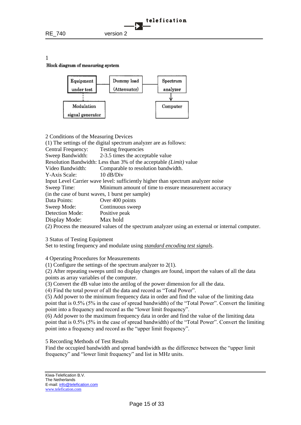1

#### Block diagram of measuring system



| 2 Conditions of the Measuring Devices            |                                                                                  |
|--------------------------------------------------|----------------------------------------------------------------------------------|
|                                                  | (1) The settings of the digital spectrum analyzer are as follows:                |
| Central Frequency:                               | Testing frequencies                                                              |
|                                                  | Sweep Bandwidth: 2-3.5 times the acceptable value                                |
|                                                  | Resolution Bandwidth: Less than 3% of the acceptable <i>(Limit)</i> value        |
| Video Bandwidth:                                 | Comparable to resolution bandwidth.                                              |
| Y-Axis Scale:                                    | $10 \text{ dB/Div}$                                                              |
|                                                  | Input Level Carrier wave level: sufficiently higher than spectrum analyzer noise |
| Sweep Time:                                      | Minimum amount of time to ensure measurement accuracy                            |
| (in the case of burst waves, 1 burst per sample) |                                                                                  |
| Data Points:                                     | Over 400 points                                                                  |
| Sweep Mode:                                      | Continuous sweep                                                                 |
| Detection Mode:                                  | Positive peak                                                                    |
| Display Mode:                                    | Max hold                                                                         |
| $(2)$ $\mathbb{R}$ $(1)$                         |                                                                                  |

(2) Process the measured values of the spectrum analyzer using an external or internal computer.

3 Status of Testing Equipment

Set to testing frequency and modulate using *standard encoding test signals*.

4 Operating Procedures for Measurements

(1) Configure the settings of the spectrum analyzer to 2(1).

(2) After repeating sweeps until no display changes are found, import the values of all the data points as array variables of the computer.

(3) Convert the dB value into the antilog of the power dimension for all the data.

(4) Find the total power of all the data and record as "Total Power".

(5) Add power to the minimum frequency data in order and find the value of the limiting data point that is 0.5% (5% in the case of spread bandwidth) of the "Total Power". Convert the limiting point into a frequency and record as the "lower limit frequency".

(6) Add power to the maximum frequency data in order and find the value of the limiting data point that is 0.5% (5% in the case of spread bandwidth) of the "Total Power". Convert the limiting point into a frequency and record as the "upper limit frequency".

5 Recording Methods of Test Results

Find the occupied bandwidth and spread bandwidth as the difference between the "upper limit frequency" and "lower limit frequency" and list in MHz units.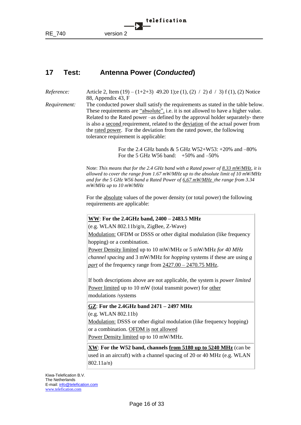

# <span id="page-15-0"></span>**17 Test: Antenna Power (***Conducted***)**

*Reference:* Article 2, Item (19) – (1+2+3) 49.20 1); e (1), (2) / 2) d / 3) f (1), (2) Notice 88, Appendix 43, F

*Requirement:* The conducted power shall satisfy the requirements as stated in the table below. These requirements are "absolute", i.e. it is not allowed to have a higher value. Related to the Rated power –as defined by the approval holder separately- there is also a second requirement, related to the deviation of the actual power from the rated power. For the deviation from the rated power, the following tolerance requirement is applicable:

> For the 2.4 GHz bands  $& 5$  GHz W52+W53: +20% and –80% For the 5 GHz W56 band: +50% and –50%

Note: *This means that for the 2.4 GHz band with a Rated power of 8.33 mW/MHz, it is allowed to cover the range from 1.67 mW/MHz up to the absolute limit of 10 mW/MHz and for the 5 GHz W56 band a Rated Power of 6,67 mW/MHz the range from 3.34 mW/MHz up to 10 mW/MHz* 

For the absolute values of the power density (or total power) the following requirements are applicable:

#### **WW**: **For the 2.4GHz band, 2400 – 2483.5 MHz**

(e.g. WLAN 802.11b/g/n, ZigBee, Z-Wave)

Modulation: OFDM or DSSS or other digital modulation (like frequency hopping) or a combination.

Power Density limited up to 10 mW/MHz or 5 mW/MHz *for 40 MHz channel spacing* and 3 mW/MHz for *hopping* systems if these are using *a part* of the frequency range from 2427.00 – 2470.75 MHz.

If both descriptions above are not applicable, the system is *power limited* Power limited up to 10 mW (total transmit power) for other modulations /systems

**GZ**: **For the 2.4GHz band 2471 – 2497 MHz**

(e.g. WLAN 802.11b)

Modulation: DSSS or other digital modulation (like frequency hopping) or a combination. OFDM is not allowed

Power Density limited up to 10 mW/MHz.

**XW**: **For the W52 band, channels from 5180 up to 5240 MHz** (can be used in an aircraft) with a channel spacing of 20 or 40 MHz (e.g. WLAN 802.11a/n)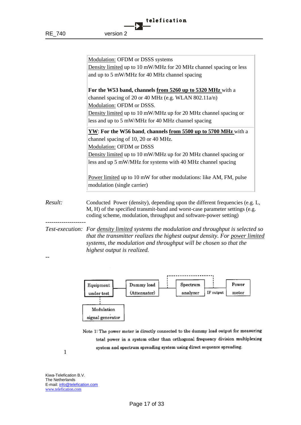|         | Modulation: OFDM or DSSS systems                                                                                                                                                                                                             |
|---------|----------------------------------------------------------------------------------------------------------------------------------------------------------------------------------------------------------------------------------------------|
|         | Density limited up to 10 mW/MHz for 20 MHz channel spacing or less                                                                                                                                                                           |
|         | and up to 5 mW/MHz for 40 MHz channel spacing                                                                                                                                                                                                |
|         |                                                                                                                                                                                                                                              |
|         | For the W53 band, channels from 5260 up to 5320 MHz with a                                                                                                                                                                                   |
|         | channel spacing of 20 or 40 MHz (e.g. WLAN 802.11a/n)                                                                                                                                                                                        |
|         | Modulation: OFDM or DSSS.                                                                                                                                                                                                                    |
|         | Density limited up to 10 mW/MHz up for 20 MHz channel spacing or                                                                                                                                                                             |
|         | less and up to 5 mW/MHz for 40 MHz channel spacing                                                                                                                                                                                           |
|         | YW: For the W56 band, channels from 5500 up to 5700 MHz with a                                                                                                                                                                               |
|         | channel spacing of 10, 20 or 40 MHz.                                                                                                                                                                                                         |
|         | Modulation: OFDM or DSSS                                                                                                                                                                                                                     |
|         | Density limited up to 10 mW/MHz up for 20 MHz channel spacing or                                                                                                                                                                             |
|         | less and up 5 mW/MHz for systems with 40 MHz channel spacing                                                                                                                                                                                 |
|         | Power limited up to 10 mW for other modulations: like AM, FM, pulse<br>modulation (single carrier)                                                                                                                                           |
| Result: | Conducted Power (density), depending upon the different frequencies (e.g. L,<br>M, H) of the specified transmit-band and worst-case parameter settings (e.g.<br>coding scheme, modulation, throughput and software-power setting)            |
|         | Test-execution: For density limited systems the modulation and throughput is selected so<br>that the transmitter realizes the highest output density. For power limited<br>systems, the modulation and throughput will be chosen so that the |

*systems, the modulation and throughput will be chosen so that the highest output is realized.*



Note 1: The power meter is directly connected to the dummy load output for measuring total power in a system other than orthogonal frequency division multiplexing system and spectrum spreading system using direct sequence spreading.

1

*--*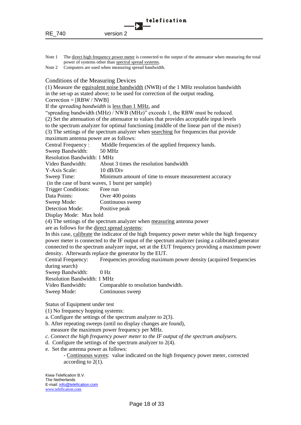Note 1 The direct high frequency power meter is connected to the output of the attenuator when measuring the total power of systems other than spectral spread systems.

Note 2 Computers are used when measuring spread bandwidth.

Conditions of the Measuring Devices

(1) Measure the equivalent noise bandwidth (NWB) of the 1 MHz resolution bandwidth in the set-up as stated above; to be used for correction of the output reading.

 $Correction = [RBW / NWB]$ 

If the *spreading bandwidth* is less than 1 MHz, and

"spreading bandwidth (MHz) / NWB (MHz)" exceeds 1, the RBW must be reduced.

(2) Set the attenuation of the attenuator to values that provides acceptable input levels to the spectrum analyzer for optimal functioning (middle of the linear part of the mixer) (3) The settings of the spectrum analyzer when searching for frequencies that provide maximum antenna power are as follows:

Central Frequency : Middle frequencies of the applied frequency bands.

Sweep Bandwidth: 50 MHz

Resolution Bandwidth: 1 MHz

Video Bandwidth: About 3 times the resolution bandwidth

Y-Axis Scale: 10 dB/Div

Sweep Time: Minimum amount of time to ensure measurement accuracy

(in the case of burst waves, 1 burst per sample)

Trigger Conditions: Free run

Data Points: Over 400 points

Sweep Mode: Continuous sweep

Detection Mode: Positive peak

Display Mode: Max hold

(4) The settings of the spectrum analyzer when measuring antenna power

are as follows for the direct spread systems:

In this case, calibrate the indicator of the high frequency power meter while the high frequency power meter is connected to the IF output of the spectrum analyzer (using a calibrated generator connected to the spectrum analyzer input, set at the EUT frequency providing a maximum power density. Afterwards replace the generator by the EUT.

Central Frequency: Frequencies providing maximum power density (acquired frequencies during search)

Sweep Bandwidth: 0 Hz

Resolution Bandwidth: 1 MHz

Video Bandwidth: Comparable to resolution bandwidth. Sweep Mode: Continuous sweep

Status of Equipment under test

(1) No frequency hopping systems:

a. Configure the settings of the spectrum analyzer to 2(3).

- b. After repeating sweeps (until no display changes are found), measure the maximum power frequency per MHz.
- *c. Connect the high frequency power meter to the IF output of the spectrum analysers.*
- d. Configure the settings of the spectrum analyzer to 2(4).
- e. Set the antenna power as follows:

- Continuous waves: value indicated on the high frequency power meter, corrected according to 2(1).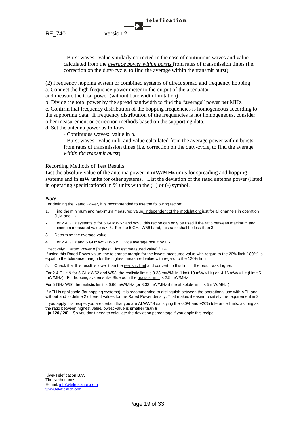- Burst waves: value similarly corrected in the case of continuous waves and value calculated from the *average power within bursts* from rates of transmission times (i.e. correction on the duty-cycle, to find the average within the transmit burst)

telefication

(2) Frequency hopping system or combined systems of direct spread and frequency hopping: a. Connect the high frequency power meter to the output of the attenuator and measure the total power (without bandwidth limitation)

b. Divide the total power by the spread bandwidth to find the "average" power per MHz. c. Confirm that frequency distribution of the hopping frequencies is homogeneous according to the supporting data. If frequency distribution of the frequencies is not homogeneous, consider other measurement or correction methods based on the supporting data.

d. Set the antenna power as follows:

- Continuous waves: value in b.

- Burst waves: value in b. and value calculated from the average power within bursts from rates of transmission times (i.e. correction on the duty-cycle, to find the average *within the transmit burst*)

Recording Methods of Test Results

List the absolute value of the antenna power in **mW/MHz** units for spreading and hopping systems and in **mW** units for other systems. List the deviation of the rated antenna power (listed in operating specifications) in  $%$  units with the  $(+)$  or  $(-)$  symbol.

#### *Note*

For defining the Rated Power, it is recommended to use the following recipe:

- 1. Find the minimum and maximum measured value, independent of the modulation; just for all channels in operation (L,M and H).
- 2. For 2.4 GHz systems & for 5 GHz W52 and W53 this recipe can only be used if the ratio between maximum and minimum measured value is < 6. For the 5 GHz W56 band, this ratio shall be less than 3.
- 3. Determine the average value.
- 4. For 2.4 GHz and 5 GHz W52+W53: Divide average result by 0.7

Effectively: Rated Power = [highest + lowest measured value] / 1.4

If using this Rated Power value, the tolerance margin for the lowest measured value with regard to the 20% limit (-80%) is equal to the tolerance margin for the highest measured value with regard to the 120% limit.

5. Check that this result is lower than the realistic limit and convert to this limit if the result was higher.

For 2.4 GHz & for 5 GHz W52 and W53 the realistic limit is 8.33 mW/MHz (Limit 10 mW/MHz) or 4.16 mW/MHz (Limit 5 mW/MHz). For hopping systems like Bluetooth the realistic limit is 2.5 mW/MHz

For 5 GHz W56 the realistic limit is 6.66 mW/MHz (or 3.33 mW/MHz if the absolute limit is 5 mW/MHz )

If AFH is applicable (for hopping systems), it is recommended to distinguish between the operational use with AFH and without and to define 2 different values for the Rated Power density. That makes it easier to satisfy the requirement in 2.

If you apply this recipe, you are certain that you are ALWAYS satisfying the -80% and +20% tolerance limits, as long as the ratio between highest value/lowest value is **smaller than 6**

**(= 120 / 20)** . So you don't need to calculate the deviation percentage if you apply this recipe.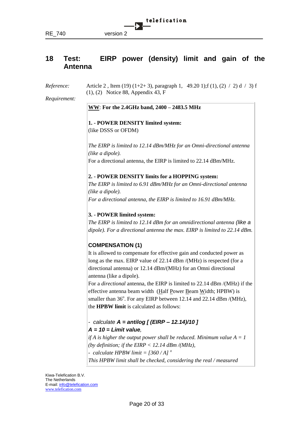

# <span id="page-19-0"></span>**18 Test: EIRP power (density) limit and gain of the Antenna**

*Reference:* Article 2, Item (19) (1+2+3), paragraph 1, 49.20 1); f (1), (2) / 2) d / 3) f (1), (2) Notice 88, Appendix 43, F

*Requirement:*

#### **WW**: **For the 2.4GHz band, 2400 – 2483.5 MHz**

**1. - POWER DENSITY limited system:** (like DSSS or OFDM)

*The EIRP is limited to 12.14 dBm/MHz for an Omni-directional antenna (like a dipole).* For a directional antenna, the EIRP is limited to 22.14 dBm/MHz.

#### **2. - POWER DENSITY limits for a HOPPING system:**

*The EIRP is limited to 6.91 dBm/MHz for an Omni-directional antenna (like a dipole). For a directional antenna, the EIRP is limited to 16.91 dBm/MHz.*

## **3. - POWER limited system:**

*The EIRP is limited to 12.14 dBm for an omnidirectional antenna (like a dipole). For a directional antenna the max. EIRP is limited to 22.14 dBm.*

## **COMPENSATION (1)**

It is allowed to compensate for effective gain and conducted power as long as the max. EIRP value of 22.14 dBm /(MHz) is respected (for a directional antenna) or 12.14 dBm/(MHz) for an Omni directional antenna (like a dipole).

For a *directional* antenna, the EIRP is limited to 22.14 dBm /(MHz) if the effective antenna beam width (Half Power Beam Width; HPBW) is smaller than  $36^\circ$ . For any EIRP between 12.14 and  $22.14$  dBm/(MHz), the **HPBW limit** is calculated as follows:

## *- calculate A = antilog [ (EIRP – 12.14)/10 ] A = 10 = Limit value,*

*if A is higher the output power shall be reduced. Minimum value*  $A = I$ *(by definition; if the EIRP < 12.14 dBm /(MHz), - calculate HPBW limit = [360 / A] <sup>o</sup> This HPBW limit shall be checked, considering the real / measured*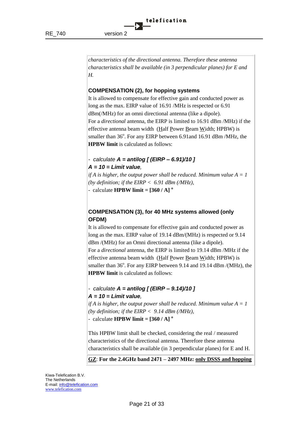*characteristics of the directional antenna. Therefore these antenna characteristics shall be available (in 3 perpendicular planes) for E and H.*

## **COMPENSATION (2), for hopping systems**

It is allowed to compensate for effective gain and conducted power as long as the max. EIRP value of 16.91 /MHz is respected or 6.91 dBm(/MHz) for an omni directional antenna (like a dipole). For a *directional* antenna, the EIRP is limited to 16.91 dBm /MHz) if the effective antenna beam width (Half Power Beam Width; HPBW) is smaller than 36°. For any EIRP between 6.91 and 16.91 dBm /MHz, the **HPBW limit** is calculated as follows:

## *- calculate A = antilog [ (EIRP – 6.91)/10 ] A = 10 = Limit value,*

*if A is higher, the output power shall be reduced. Minimum value*  $A = I$ *(by definition; if the EIRP < 6.91 dBm (/MHz),*

- calculate **HPBW limit = [360 / A]<sup>o</sup>** 

## **COMPENSATION (3), for 40 MHz systems allowed (only OFDM)**

It is allowed to compensate for effective gain and conducted power as long as the max. EIRP value of 19.14 dBm/(MHz) is respected or 9.14 dBm /(MHz) for an Omni directional antenna (like a dipole). For a *directional* antenna, the EIRP is limited to 19.14 dBm /MHz if the effective antenna beam width (Half Power Beam Width; HPBW) is smaller than  $36^\circ$ . For any EIRP between 9.14 and 19.14 dBm /(MHz), the **HPBW limit** is calculated as follows:

## *- calculate A = antilog [ (EIRP – 9.14)/10 ] A = 10 = Limit value,*

*if A is higher, the output power shall be reduced. Minimum value A = 1 (by definition; if the EIRP < 9.14 dBm (/MHz),*

- calculate **HPBW limit = [360 / A] <sup>o</sup>**

This HPBW limit shall be checked, considering the real / measured characteristics of the directional antenna. Therefore these antenna characteristics shall be available (in 3 perpendicular planes) for E and H.

**GZ**: **For the 2.4GHz band 2471 – 2497 MHz: only DSSS and hopping**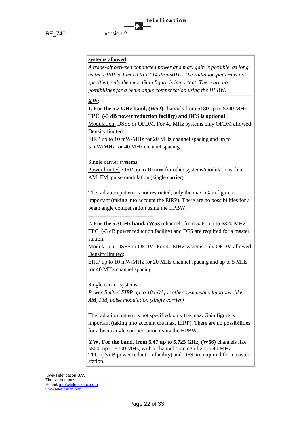#### **systems allowed**

*A trade-off between conducted power and max. gain is possible, as long as the EIRP is limited to 12.14 dBm/MHz. The radiation pattern is not specified, only the max. Gain figure is important. There are no possibilities for a beam angle compensation using the HPBW.*

#### **XW:**

**1. For the 5.2 GHz band, (W52)** channels from 5180 up to 5240 MHz **TPC (-3 dB power reduction facility) and DFS is optional**

Modulation: DSSS or OFDM. For 40 MHz systems only OFDM allowed Density limited:

EIRP up to 10 mW/MHz for 20 MHz channel spacing and up to 5 mW/MHz for 40 MHz channel spacing

Single carrier systems:

Power limited EIRP up to 10 mW for other systems/modulations: like AM, FM, pulse modulation (single carrier)

The radiation pattern is not restricted, only the max. Gain figure is important (taking into account the EIRP). There are no possibilities for a beam angle compensation using the HPBW.

**-----------------------------------**

**2. For the 5.3GHz band, (W53)** channels from 5260 up to 5320 MHz TPC (-3 dB power reduction facility) and DFS are required for a master station.

Modulation: DSSS or OFDM. For 40 MHz systems only OFDM allowed Density limited:

EIRP up to 10 mW/MHz for 20 MHz channel spacing and up to 5 MHz for 40 MHz channel spacing

Single carrier systems

*Power limited EIRP up to 10 mW for other systems/modulations: like AM, FM, pulse modulation (single carrier)*

The radiation pattern is not specified, only the max. Gain figure is important (taking into account the max. EIRP). There are no possibilities for a beam angle compensation using the HPBW.

**YW, For the band, from 5.47 up to 5.725 GHz, (W56)** channels like 5500, up to 5700 MHz, with a channel spacing of 20 or 40 MHz. TPC (-3 dB power reduction facility) and DFS are required for a master station.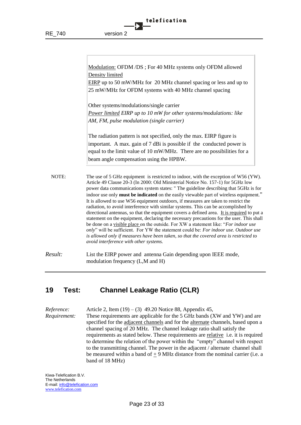|           | telefication |
|-----------|--------------|
|           |              |
| version 2 |              |

|         | Modulation: OFDM /DS; For 40 MHz systems only OFDM allowed<br>Density limited<br>EIRP up to 50 mW/MHz for 20 MHz channel spacing or less and up to<br>25 mW/MHz for OFDM systems with 40 MHz channel spacing<br>Other systems/modulations/single carrier<br>Power limited EIRP up to 10 mW for other systems/modulations: like                                                                                                                                                                                                                                                                                                                                                                                                                                                                                                                                                                                                                                                                                                                   |
|---------|--------------------------------------------------------------------------------------------------------------------------------------------------------------------------------------------------------------------------------------------------------------------------------------------------------------------------------------------------------------------------------------------------------------------------------------------------------------------------------------------------------------------------------------------------------------------------------------------------------------------------------------------------------------------------------------------------------------------------------------------------------------------------------------------------------------------------------------------------------------------------------------------------------------------------------------------------------------------------------------------------------------------------------------------------|
|         | AM, FM, pulse modulation (single carrier)<br>The radiation pattern is not specified, only the max. EIRP figure is<br>important. A max. gain of 7 dBi is possible if the conducted power is                                                                                                                                                                                                                                                                                                                                                                                                                                                                                                                                                                                                                                                                                                                                                                                                                                                       |
|         | equal to the limit value of 10 mW/MHz. There are no possibilities for a<br>beam angle compensation using the HPBW.                                                                                                                                                                                                                                                                                                                                                                                                                                                                                                                                                                                                                                                                                                                                                                                                                                                                                                                               |
| NOTE:   | The use of 5 GHz equipment is restricted to indoor, with the exception of W56 (YW).<br>Article 49 Clause 20-3 (In 2000: Old Ministerial Notice No. 157-1) for 5GHz low<br>power data communications system states: " The guideline describing that 5GHz is for<br>indoor use only must be indicated on the easily viewable part of wireless equipment."<br>It is allowed to use W56 equipment outdoors, if measures are taken to restrict the<br>radiation, to avoid interference with similar systems. This can be accomplished by<br>directional antennas, so that the equipment covers a defined area. It is required to put a<br>statement on the equipment, declaring the necessary precautions for the user. This shall<br>be done on a visible place on the outside. For XW a statement like: "For indoor use<br>only" will be sufficient. For YW the statement could be: For indoor use. Outdoor use<br>is allowed only if measures have been taken, so that the covered area is restricted to<br>avoid interference with other systems. |
| Result: | List the EIRP power and antenna Gain depending upon IEEE mode,<br>modulation frequency (L,M and H)                                                                                                                                                                                                                                                                                                                                                                                                                                                                                                                                                                                                                                                                                                                                                                                                                                                                                                                                               |

# <span id="page-22-0"></span>**19 Test: Channel Leakage Ratio (CLR)**

*Reference:* Article 2, Item (19) – (3) 49.20 Notice 88, Appendix 45, *Requirement:* These requirements are applicable for the 5 GHz bands (XW and YW) and are specified for the adjacent channels and for the alternate channels, based upon a channel spacing of 20 MHz. The channel leakage ratio shall satisfy the requirements as stated below. These requirements are relative i.e. it is required to determine the relation of the power within the "empty" channel with respect to the transmitting channel. The power in the adjacent / alternate channel shall be measured within a band of  $\pm$  9 MHz distance from the nominal carrier (i.e. a band of 18 MHz)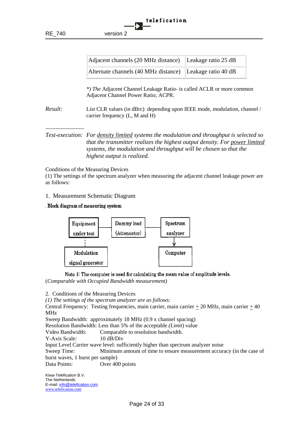| Adjacent channels (20 MHz distance) Leakage ratio 25 dB  |  |
|----------------------------------------------------------|--|
| Alternate channels (40 MHz distance) Leakage ratio 40 dB |  |

*\*) The* Adjacent Channel Leakage Ratio- is called ACLR or more common Adjacent Channel Power Ratio; ACPR.

*Result:* List CLR values (in dBrc) depending upon IEEE mode, modulation, channel / carrier frequency (L, M and H)

*-----------------------*

*Test-execution: For density limited systems the modulation and throughput is selected so that the transmitter realizes the highest output density. For power limited systems, the modulation and throughput will be chosen so that the highest output is realized.*

#### Conditions of the Measuring Devices

(1) The settings of the spectrum analyzer when measuring the adjacent channel leakage power are as follows:

- 1. Measurement Schematic Diagram
- . Block diagram of measuring system



Note 1: The computer is used for calculating the mean value of amplitude levels. (*Comparable with Occupied Bandwidth measurement)*

2. Conditions of the Measuring Devices

*(1) The settings of the spectrum analyzer are as follows:*

Central Frequency: Testing frequencies, main carrier, main carrier + 20 MHz, main carrier + 40 MHz

Sweep Bandwidth: approximately 18 MHz (0.9 x channel spacing)

Resolution Bandwidth: Less than 5% of the acceptable *(Limit*) value

Video Bandwidth: Comparable to resolution bandwidth.

Y-Axis Scale: 10 dB/Div

Input Level Carrier wave level: sufficiently higher than spectrum analyzer noise

Sweep Time: Minimum amount of time to ensure measurement accuracy (in the case of burst waves, 1 burst per sample)

Data Points: Over 400 points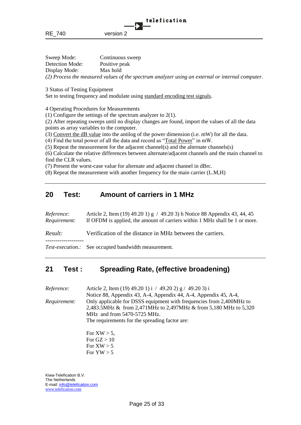| RE_740      | version 2        |  |
|-------------|------------------|--|
|             |                  |  |
| Sweep Mode: | Continuous sweep |  |

telefication

Detection Mode: Positive peak Display Mode: Max hold *(2) Process the measured values of the spectrum analyzer using an external or internal computer.*

3 Status of Testing Equipment

Set to testing frequency and modulate using standard encoding test signals.

4 Operating Procedures for Measurements

(1) Configure the settings of the spectrum analyzer to 2(1).

(2) After repeating sweeps until no display changes are found, import the values of all the data points as array variables to the computer.

(3) Convert the dB value into the antilog of the power dimension (i.e. mW) for all the data.

(4) Find the total power of all the data and record as "Total Power" in mW.

(5) Repeat the measurement for the adjacent channel(s) and the alternate channels(s)

(6) Calculate the relative differences between alternate/adjacent channels and the main channel to find the CLR values.

(7) Present the worst-case value for alternate and adjacent channel in dBrc.

(8) Repeat the measurement with another frequency for the main carrier (L.M,H)

# <span id="page-24-0"></span>**20 Test: Amount of carriers in 1 MHz**

| Reference:<br>Requirement: | Article 2, Item (19) 49.20 1) g / 49.20 3) h Notice 88 Appendix 43, 44, 45<br>If OFDM is applied, the amount of carriers within 1 MHz shall be 1 or more. |
|----------------------------|-----------------------------------------------------------------------------------------------------------------------------------------------------------|
| Result:                    | Verification of the distance in MHz between the carriers.                                                                                                 |
|                            | <i>Test-execution.:</i> See occupied bandwidth measurement.                                                                                               |

# <span id="page-24-1"></span>**21 Test : Spreading Rate, (effective broadening)**

*Reference:* Article 2, Item (19) 49.20 1) i / 49.20 2) g / 49.20 3) i Notice 88, Appendix 43, A-4, Appendix 44, A-4, Appendix 45, A-4, *Requirement:* Only applicable for DSSS equipment with frequencies from 2,400MHz to 2,483.5MHz & from 2,471MHz to 2,497MHz & from 5,180 MHz to 5,320 MHz and from 5470-5725 MHz. The requirements for the spreading factor are:

> For  $XW > 5$ , For  $GZ > 10$ For  $XW > 5$ For  $YW > 5$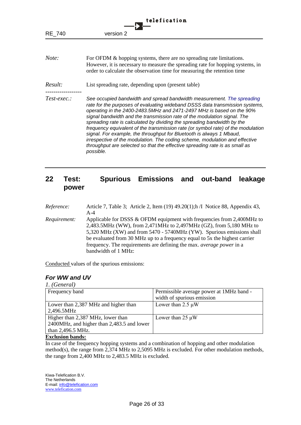| telefication  |                                                                                                                                                                                                                                                                                                                                                                                                                                                                                                                                                                                                                                                                                                                               |  |
|---------------|-------------------------------------------------------------------------------------------------------------------------------------------------------------------------------------------------------------------------------------------------------------------------------------------------------------------------------------------------------------------------------------------------------------------------------------------------------------------------------------------------------------------------------------------------------------------------------------------------------------------------------------------------------------------------------------------------------------------------------|--|
| <b>RE 740</b> | version 2                                                                                                                                                                                                                                                                                                                                                                                                                                                                                                                                                                                                                                                                                                                     |  |
| Note:         | For OFDM & hopping systems, there are no spreading rate limitations.<br>However, it is necessary to measure the spreading rate for hopping systems, in<br>order to calculate the observation time for measuring the retention time                                                                                                                                                                                                                                                                                                                                                                                                                                                                                            |  |
| Result:       | List spreading rate, depending upon (present table)                                                                                                                                                                                                                                                                                                                                                                                                                                                                                                                                                                                                                                                                           |  |
| $Test-exec.$  | See occupied bandwidth and spread bandwidth measurement. The spreading<br>rate for the purposes of evaluating wideband DSSS data transmission systems,<br>operating in the 2400-2483.5MHz and 2471-2497 MHz is based on the 90%<br>signal bandwidth and the transmission rate of the modulation signal. The<br>spreading rate is calculated by dividing the spreading bandwidth by the<br>frequency equivalent of the transmission rate (or symbol rate) of the modulation<br>signal. For example, the throughput for Bluetooth is always 1 Mbaud,<br>irrespective of the modulation. The coding scheme, modulation and effective<br>throughput are selected so that the effective spreading rate is as small as<br>possible. |  |

# <span id="page-25-0"></span>**22 Test: Spurious Emissions and out-band leakage power**

| Reference:          | Article 7, Table 3; Article 2, Item (19) 49.20(1); h /I Notice 88, Appendix 43,<br>$A-4$                                                                                                                                                                                                                                                                                                                     |
|---------------------|--------------------------------------------------------------------------------------------------------------------------------------------------------------------------------------------------------------------------------------------------------------------------------------------------------------------------------------------------------------------------------------------------------------|
| <i>Requirement:</i> | Applicable for DSSS $\&$ OFDM equipment with frequencies from 2,400MHz to<br>2,483.5MHz (WW), from 2,471MHz to 2,497MHz (GZ), from 5,180 MHz to<br>5,320 MHz (XW) and from 5470 - 5740MHz (YW). Spurious emissions shall<br>be evaluated from 30 MHz up to a frequency equal to 5x the highest carrier<br>frequency. The requirements are defining the max. <i>average power</i> in a<br>bandwidth of 1 MHz: |

Conducted values of the spurious emissions:

## *For WW and UV*

#### *1. (General)*

| Frequency band                             | Permissible average power at 1MHz band - |  |
|--------------------------------------------|------------------------------------------|--|
|                                            | width of spurious emission               |  |
| Lower than 2,387 MHz and higher than       | Lower than $2.5 \mu W$                   |  |
| 2,496.5MHz                                 |                                          |  |
| Higher than 2,387 MHz, lower than          | Lower than $25 \mu W$                    |  |
| 2400MHz, and higher than 2,483.5 and lower |                                          |  |
| than 2,496.5 MHz.                          |                                          |  |

#### **Exclusion bands:**

In case of the frequency hopping systems and a combination of hopping and other modulation method(s), the range from 2,374 MHz to 2,5095 MHz is excluded. For other modulation methods, the range from 2,400 MHz to 2,483.5 MHz is excluded.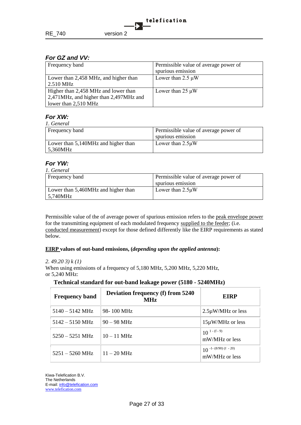## *For GZ and VV:*

| Frequency band                         | Permissible value of average power of |
|----------------------------------------|---------------------------------------|
|                                        | spurious emission                     |
| Lower than 2,458 MHz, and higher than  | Lower than $2.5 \mu W$                |
| 2.510 MHz                              |                                       |
| Higher than 2,458 MHz and lower than   | Lower than $25 \mu W$                 |
| 2,471MHz, and higher than 2,497MHz and |                                       |
| lower than 2,510 MHz                   |                                       |

## *For XW:*

| 1. General                          |                                       |  |
|-------------------------------------|---------------------------------------|--|
| Frequency band                      | Permissible value of average power of |  |
|                                     | spurious emission                     |  |
| Lower than 5,140MHz and higher than | Lower than $2.5\mu W$                 |  |
| 5.360MHz                            |                                       |  |

#### *For YW:*   $\overline{a}$

| 1. Generat                                 |                                       |  |
|--------------------------------------------|---------------------------------------|--|
| Frequency band                             | Permissible value of average power of |  |
|                                            | spurious emission                     |  |
| Lower than 5,460MHz and higher than        | Lower than $2.5\mu$ W                 |  |
| $\frac{5,740 \text{MHz}}{5,000 \text{Hz}}$ |                                       |  |

Permissible value of the of average power of spurious emission refers to the peak envelope power for the transmitting equipment of each modulated frequency supplied to the feeder; (i.e. conducted measurement) except for those defined differently like the EIRP requirements as stated below.

#### **EIRP values of out-band emissions, (***depending upon the applied antenna***):**

#### *2. 49.20 3) k (1)*

When using emissions of a frequency of 5,180 MHz, 5,200 MHz, 5,220 MHz, or 5,240 MHz:

#### **Technical standard for out-band leakage power (5180 - 5240MHz)**

| <b>Frequency band</b>     | <b>Deviation frequency (f) from 5240</b><br><b>MHz</b> | EIRP                                       |
|---------------------------|--------------------------------------------------------|--------------------------------------------|
| $5140 - 5142 \text{ MHz}$ | 98-100 MHz                                             | $2.5\mu$ W/MHz or less                     |
| $5142 - 5150 \text{ MHz}$ | $90 - 98$ MHz                                          | $15\mu$ W/MHz or less                      |
| $5250 - 5251$ MHz         | $10 - 11$ MHz                                          | $10^{1-(f-9)}$<br>mW/MHz or less           |
| $5251 - 5260 \text{ MHz}$ | $11 - 20$ MHz                                          | $10^{-1-(8/90)(f - 20)}$<br>mW/MHz or less |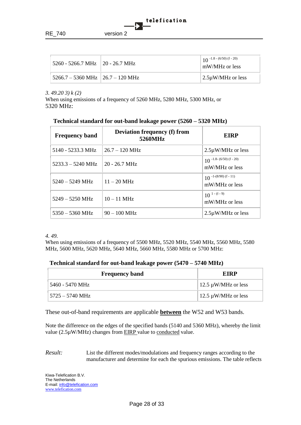

| $15260 - 5266.7 \text{ MHz}$   20 - 26.7 MHz | $10^{-1.8} - (6/50) (f - 20)$<br>mW/MHz or less |
|----------------------------------------------|-------------------------------------------------|
| 5266.7 – 5360 MHz   26.7 – 120 MHz           | $\frac{2.5\mu W}{MHz}$ or less                  |

*3. 49.20 3) k (2)*

When using emissions of a frequency of 5260 MHz, 5280 MHz, 5300 MHz, or 5320 MHz:

| <b>Frequency band</b>       | <b>Deviation frequency (f) from</b><br>5260MHz | <b>EIRP</b>                                |
|-----------------------------|------------------------------------------------|--------------------------------------------|
| 5140 - 5233.3 MHz           | $26.7 - 120$ MHz                               | $2.5\mu$ W/MHz or less                     |
| $5233.3 - 5240 \text{ MHz}$ | $20 - 26.7 \text{ MHz}$                        | $10^{-1.8-(6/50)(f-20)}$<br>mW/MHz or less |
| $5240 - 5249$ MHz           | $11 - 20$ MHz                                  | $10^{-1-(8/90)(f-11)}$<br>mW/MHz or less   |
| $5249 - 5250 \text{ MHz}$   | $10 - 11$ MHz                                  | $10^{1-(f-9)}$<br>mW/MHz or less           |
| $5350 - 5360 \text{ MHz}$   | $90 - 100$ MHz                                 | $2.5\mu$ W/MHz or less                     |

## **Technical standard for out-band leakage power (5260 – 5320 MHz)**

#### *4. 49.*

When using emissions of a frequency of 5500 MHz, 5520 MHz, 5540 MHz, 5560 MHz, 5580 MHz, 5600 MHz, 5620 MHz, 5640 MHz, 5660 MHz, 5580 MHz or 5700 MHz:

#### **Technical standard for out-band leakage power (5470 – 5740 MHz)**

| <b>Frequency band</b> | EIRP                     |
|-----------------------|--------------------------|
| 5460 - 5470 MHz       | 12.5 $\mu$ W/MHz or less |
| 5725 – 5740 MHz       | 12.5 $\mu$ W/MHz or less |

These out-of-band requirements are applicable **between** the W52 and W53 bands.

Note the difference on the edges of the specified bands (5140 and 5360 MHz), whereby the limit value (2.5µW/MHz) changes from EIRP value to conducted value.

*Result:* List the different modes/modulations and frequency ranges according to the manufacturer and determine for each the spurious emissions. The table reflects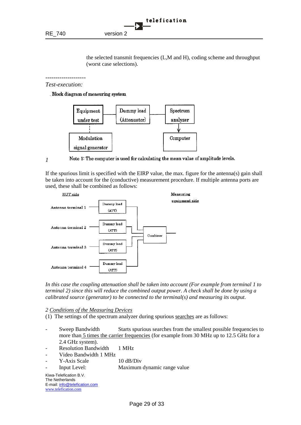the selected transmit frequencies (L,M and H), coding scheme and throughput (worst case selections).

*-------------------- Test-execution:*

Block diagram of measuring system



*1* 

Note 1: The computer is used for calculating the mean value of amplitude levels.

If the spurious limit is specified with the EIRP value, the max. figure for the antenna(s) gain shall be taken into account for the (conductive) measurement procedure. If multiple antenna ports are used, these shall be combined as follows:



*In this case the coupling attenuation shall be taken into account (For example from terminal 1 to terminal 2) since this will reduce the combined output power. A check shall be done by using a calibrated source (generator) to be connected to the terminal(s) and measuring its output.*

*2 Conditions of the Measuring Devices*

(1) The settings of the spectrum analyzer during spurious searches are as follows:

- Sweep Bandwidth Starts spurious searches from the smallest possible frequencies to more than 5 times the carrier frequencies (for example from 30 MHz up to 12.5 GHz for a 2.4 GHz system).
- Resolution Bandwidth 1 MHz
- Video Bandwidth 1 MHz
- Y-Axis Scale 10 dB/Div
- Input Level: Maximum dynamic range value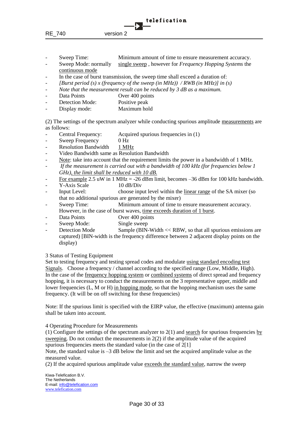- Sweep Time: Minimum amount of time to ensure measurement accuracy.
- Sweep Mode: normally single sweep , however for *Frequency Hopping Systems* the continuous mode
- In the case of burst transmission, the sweep time shall exceed a duration of:
- *[Burst period (s) x (frequency of the sweep (in MHz)) / RWB (in MHz)] in (s)*
- *Note that the measurement result can be reduced by 3 dB as a maximum.*
- Data Points Over 400 points
- Detection Mode: Positive peak
- Display mode: Maximum hold

(2) The settings of the spectrum analyzer while conducting spurious amplitude measurements are as follows:

- Central Frequency: Acquired spurious frequencies in (1)
- Sweep Frequency 0 Hz
- Resolution Bandwidth 1 MHz
- Video Bandwidth same as Resolution Bandwidth
- Note: take into account that the requirement limits the power in a bandwidth of 1 MHz*.*
- *If the measurement is carried out with a bandwidth of 100 kHz (for frequencies below 1 GHz), the limit shall be reduced with 10 dB.*
- For example 2.5 uW in 1 MHz = -26 dBm limit, becomes  $-36$  dBm for 100 kHz bandwidth.
- Y-Axis Scale 10 dB/Div
- Input Level: choose input level within the linear range of the SA mixer (so that no additional spurious are generated by the mixer)
- Sweep Time: Minimum amount of time to ensure measurement accuracy. However, in the case of burst waves, time exceeds duration of 1 burst.
- Data Points Over 400 points
- Sweep Mode: Single sweep
- Detection Mode Sample (BIN-Width << RBW, so that all spurious emissions are captured) [BIN-width is the frequency difference between 2 adjacent display points on the display)

3 Status of Testing Equipment

Set to testing frequency and testing spread codes and modulate using standard encoding test Signals. Choose a frequency / channel according to the specified range (Low, Middle, High). In the case of the frequency hopping system or combined systems of direct spread and frequency hopping, it is necessary to conduct the measurements on the 3 representative upper, middle and lower frequencies (L, M or H) in hopping mode, so that the hopping mechanism uses the same frequency. (It will be on off switching for these frequencies)

Note: If the spurious limit is specified with the EIRP value, the effective (maximum) antenna gain shall be taken into account.

4 Operating Procedure for Measurements

(1) Configure the settings of the spectrum analyzer to  $2(1)$  and search for spurious frequencies by sweeping. Do not conduct the measurements in  $2(2)$  if the amplitude value of the acquired spurious frequencies meets the standard value (in the case of 2[1]

Note, the standard value is  $-3$  dB below the limit and set the acquired amplitude value as the measured value.

(2) If the acquired spurious amplitude value exceeds the standard value, narrow the sweep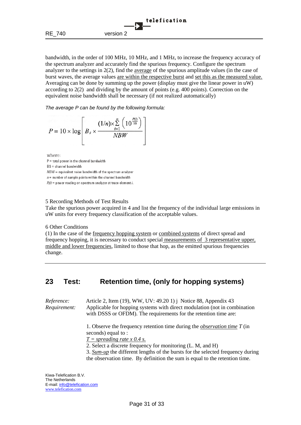

bandwidth, in the order of 100 MHz, 10 MHz, and 1 MHz, to increase the frequency accuracy of the spectrum analyzer and accurately find the spurious frequency. Configure the spectrum analyzer to the settings in 2(2), find the average of the spurious amplitude values (in the case of burst waves, the average values are within the respective burst and set this as the measured value. Averaging can be done by summing up the power (display must give the linear power in uW) according to 2(2) and dividing by the amount of points (e.g. 400 points). Correction on the equivalent noise bandwidth shall be necessary (if not realized automatically)

*The average P can be found by the following formula:*

$$
P = 10 \times \log \left[ B_s \times \frac{(1/n) \times \sum_{i=1}^{n} \left( 10^{\frac{P(i)}{10}} \right)}{NBW} \right]
$$

where:

 $P =$  total power in the channel bandwidth

 $BS = channel$  bandwidth

 $NBW =$  equivalent noise bandwidth of the spectrum analyzer

 $n =$  number of sample points within the channel bandwidth

 $P(i)$  = power reading on spectrum analyzer at trace element i.

#### 5 Recording Methods of Test Results

Take the spurious power acquired in 4 and list the frequency of the individual large emissions in uW units for every frequency classification of the acceptable values.

#### 6 Other Conditions

(1) In the case of the frequency hopping system or combined systems of direct spread and frequency hopping, it is necessary to conduct special measurements of 3 representative upper, middle and lower frequencies, limited to those that hop, as the emitted spurious frequencies change.

## <span id="page-30-0"></span>**23 Test: Retention time, (only for hopping systems)**

*Reference:* Article 2, Item (19), WW, UV: 49.20 1) j Notice 88, Appendix 43 *Requirement:* Applicable for hopping systems with direct modulation (not in combination with DSSS or OFDM)*.* The requirements for the retention time are:

> 1. Observe the frequency retention time during the *observation time T* (in seconds) equal to :

*T = spreading rate x 0.4 s.*

2. Select a discrete frequency for monitoring (L. M, and H)

3. *Sum-up* the different lengths of the bursts for the selected frequency during the observation time. By definition the sum is equal to the retention time.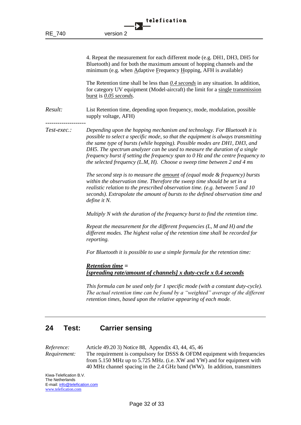4. Repeat the measurement for each different mode (e.g. DH1, DH3, DH5 for Bluetooth) and for both the maximum amount of hopping channels and the minimum (e.g. when Adaptive Frequency Hopping, AFH is available)

The Retention time shall be less than *0.4 seconds* in any situation. In addition, for category UV equipment (Model-aircraft) the limit for a single transmission burst is *0.05 seconds*.

*Result:* List Retention time, depending upon frequency, mode, modulation, possible supply voltage, AFH)

*Test-exec.: Depending upon the hopping mechanism and technology. For Bluetooth it is possible to select a specific mode, so that the equipment is always transmitting the same type of bursts (while hopping). Possible modes are DH1, DH3, and DH5. The spectrum analyzer can be used to measure the duration of a single frequency burst if setting the frequency span to 0 Hz and the centre frequency to the selected frequency (L.M, H). Choose a sweep time between 2 and 4 ms*

> *The second step is to measure the amount of (equal mode & frequency) bursts within the observation time. Therefore the sweep time should be set in a realistic relation to the prescribed observation time. (e.g. between 5 and 10 seconds). Extrapolate the amount of bursts to the defined observation time and define it N.*

*Multiply N with the duration of the frequency burst to find the retention time.*

*Repeat the measurement for the different frequencies (L, M and H) and the different modes. The highest value of the retention time shall be recorded for reporting.*

*For Bluetooth it is possible to use a simple formula for the retention time:*

*Retention time = [spreading rate/amount of channels] x duty-cycle x 0.4 seconds*

*This formula can be used only for 1 specific mode (with a constant duty-cycle). The actual retention time can be found by a "weighted" average of the different retention times, based upon the relative appearing of each mode.*

## <span id="page-31-0"></span>**24 Test: Carrier sensing**

*Reference:* Article 49.20 3) Notice 88, Appendix 43, 44, 45, 46 *Requirement:* The requirement is compulsory for DSSS & OFDM equipment with frequencies from 5.150 MHz up to 5.725 MHz. (i.e. XW and YW) and for equipment with 40 MHz channel spacing in the 2.4 GHz band (WW). In addition, transmitters

Kiwa-Telefication B.V. The Netherlands E-mail: info@telefication.com www.telefication.com

--------------------